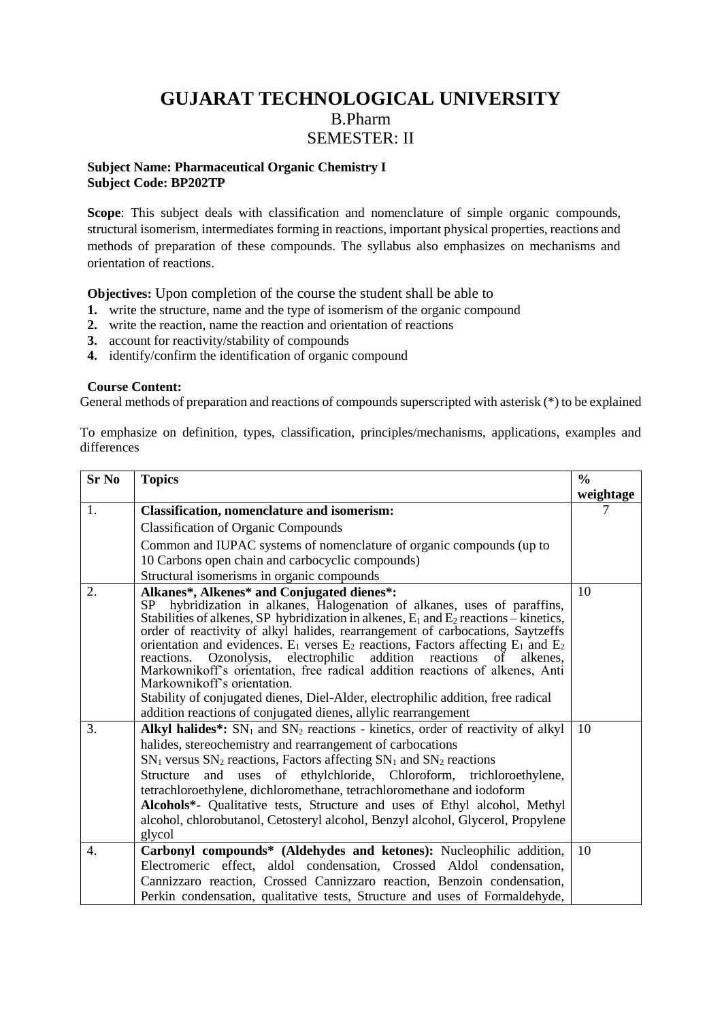## **GUJARAT TECHNOLOGICAL UNIVERSITY** B.Pharm SEMESTER: II

## **Subject Name: Pharmaceutical Organic Chemistry I Subject Code: BP202TP**

**Scope**: This subject deals with classification and nomenclature of simple organic compounds, structural isomerism, intermediates forming in reactions, important physical properties, reactions and methods of preparation of these compounds. The syllabus also emphasizes on mechanisms and orientation of reactions.

**Objectives:** Upon completion of the course the student shall be able to

- **1.** write the structure, name and the type of isomerism of the organic compound
- **2.** write the reaction, name the reaction and orientation of reactions
- **3.** account for reactivity/stability of compounds
- **4.** identify/confirm the identification of organic compound

## **Course Content:**

General methods of preparation and reactions of compounds superscripted with asterisk (\*) to be explained

To emphasize on definition, types, classification, principles/mechanisms, applications, examples and differences

| <b>Sr No</b>     | <b>Topics</b>                                                                                                                                                                                                                                                                                                                                                                                                                                                                                                                                                                                             | $\frac{6}{6}$ |
|------------------|-----------------------------------------------------------------------------------------------------------------------------------------------------------------------------------------------------------------------------------------------------------------------------------------------------------------------------------------------------------------------------------------------------------------------------------------------------------------------------------------------------------------------------------------------------------------------------------------------------------|---------------|
|                  |                                                                                                                                                                                                                                                                                                                                                                                                                                                                                                                                                                                                           | weightage     |
| 1.               | <b>Classification, nomenclature and isomerism:</b>                                                                                                                                                                                                                                                                                                                                                                                                                                                                                                                                                        |               |
|                  | <b>Classification of Organic Compounds</b>                                                                                                                                                                                                                                                                                                                                                                                                                                                                                                                                                                |               |
|                  | Common and IUPAC systems of nomenclature of organic compounds (up to                                                                                                                                                                                                                                                                                                                                                                                                                                                                                                                                      |               |
|                  | 10 Carbons open chain and carbocyclic compounds)                                                                                                                                                                                                                                                                                                                                                                                                                                                                                                                                                          |               |
|                  | Structural isomerisms in organic compounds                                                                                                                                                                                                                                                                                                                                                                                                                                                                                                                                                                |               |
| 2.               | Alkanes*, Alkenes* and Conjugated dienes*:<br>hybridization in alkanes, Halogenation of alkanes, uses of paraffins,<br>SP<br>Stabilities of alkenes, SP hybridization in alkenes, $E_1$ and $E_2$ reactions – kinetics,<br>order of reactivity of alkyl halides, rearrangement of carbocations, Saytzeffs<br>orientation and evidences. $E_1$ verses $E_2$ reactions, Factors affecting $E_1$ and $E_2$<br>Ozonolysis, electrophilic<br>addition reactions<br>reactions.<br>of<br>alkenes.<br>Markownikoff's orientation, free radical addition reactions of alkenes, Anti<br>Markownikoff's orientation. | 10            |
|                  | Stability of conjugated dienes, Diel-Alder, electrophilic addition, free radical<br>addition reactions of conjugated dienes, allylic rearrangement                                                                                                                                                                                                                                                                                                                                                                                                                                                        |               |
| 3.               | Alkyl halides*: $SN_1$ and $SN_2$ reactions - kinetics, order of reactivity of alkyl<br>halides, stereochemistry and rearrangement of carbocations<br>$SN_1$ versus $SN_2$ reactions, Factors affecting $SN_1$ and $SN_2$ reactions<br>and uses of ethylchloride, Chloroform, trichloroethylene,<br>Structure<br>tetrachloroethylene, dichloromethane, tetrachloromethane and iodoform<br>Alcohols*- Qualitative tests, Structure and uses of Ethyl alcohol, Methyl<br>alcohol, chlorobutanol, Cetosteryl alcohol, Benzyl alcohol, Glycerol, Propylene<br>glycol                                          | 10            |
| $\overline{4}$ . | Carbonyl compounds* (Aldehydes and ketones): Nucleophilic addition,<br>Electromeric effect, aldol condensation, Crossed Aldol condensation,<br>Cannizzaro reaction, Crossed Cannizzaro reaction, Benzoin condensation,<br>Perkin condensation, qualitative tests, Structure and uses of Formaldehyde,                                                                                                                                                                                                                                                                                                     | 10            |